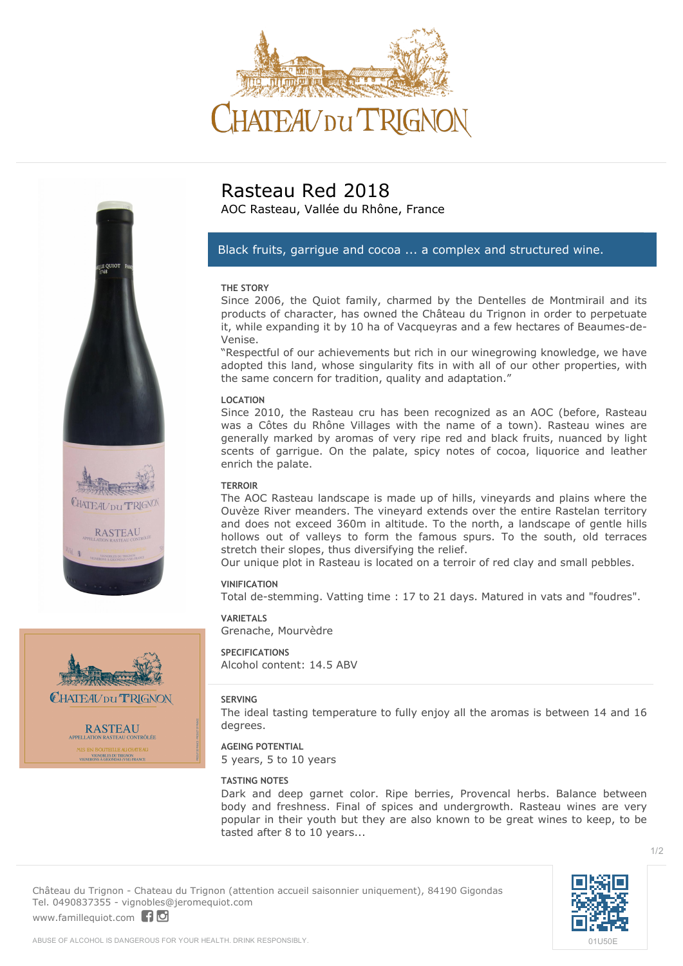







CHATEAU DU TRIGNON

**RASTEAU** .<br>Ontrôlée VIGNOBLES DU TRIGNON

# **Rasteau Red 2018**

AOC Rasteau, Vallée du Rhône, France

## *Black fruits, garrigue and cocoa ... a complex and structured wine.*

### **THE STORY**

Since 2006, the Quiot family, charmed by the Dentelles de Montmirail and its products of character, has owned the Château du Trignon in order to perpetuate it, while expanding it by 10 ha of Vacqueyras and a few hectares of Beaumes-de-Venise.

"Respectful of our achievements but rich in our winegrowing knowledge, we have adopted this land, whose singularity fits in with all of our other properties, with the same concern for tradition, quality and adaptation."

### **LOCATION**

Since 2010, the Rasteau cru has been recognized as an AOC (before, Rasteau was a Côtes du Rhône Villages with the name of a town). Rasteau wines are generally marked by aromas of very ripe red and black fruits, nuanced by light scents of garrigue. On the palate, spicy notes of cocoa, liquorice and leather enrich the palate.

### **TERROIR**

The AOC Rasteau landscape is made up of hills, vineyards and plains where the Ouvèze River meanders. The vineyard extends over the entire Rastelan territory and does not exceed 360m in altitude. To the north, a landscape of gentle hills hollows out of valleys to form the famous spurs. To the south, old terraces stretch their slopes, thus diversifying the relief.

Our unique plot in Rasteau is located on a terroir of red clay and small pebbles.

### **VINIFICATION**

Total de-stemming. Vatting time : 17 to 21 days. Matured in vats and "foudres".

## **VARIETALS**

Grenache, Mourvèdre

**SPECIFICATIONS** Alcohol content: 14.5 ABV

## **SERVING**

The ideal tasting temperature to fully enjoy all the aromas is between 14 and 16 degrees.

## **AGEING POTENTIAL**

5 years, 5 to 10 years

### **TASTING NOTES**

Dark and deep garnet color. Ripe berries, Provencal herbs. Balance between body and freshness. Final of spices and undergrowth. Rasteau wines are very popular in their youth but they are also known to be great wines to keep, to be tasted after 8 to 10 years...

**Château du Trignon** - Chateau du Trignon (attention accueil saisonnier uniquement), 84190 Gigondas Tel. 0490837355 - vignobles@jeromequiot.com <www.famillequiot.com>| 10

[01U50E](https://vincod.com/01U50E)

1/2